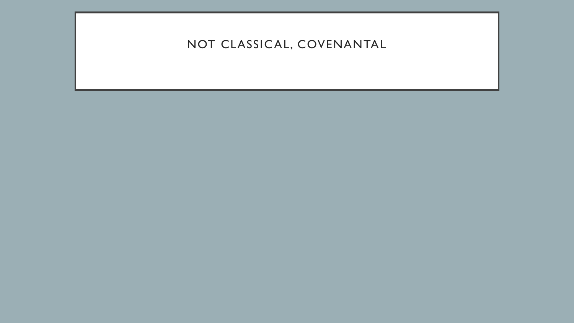# NOT CLASSICAL, COVENANTAL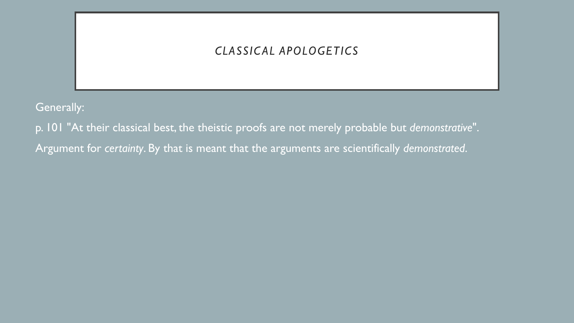## *CLASSIC AL APOLOGETICS*

Generally:

p. 101 "At their classical best, the theistic proofs are not merely probable but *demonstrative*". Argument for *certainty*. By that is meant that the arguments are scientifically *demonstrated*.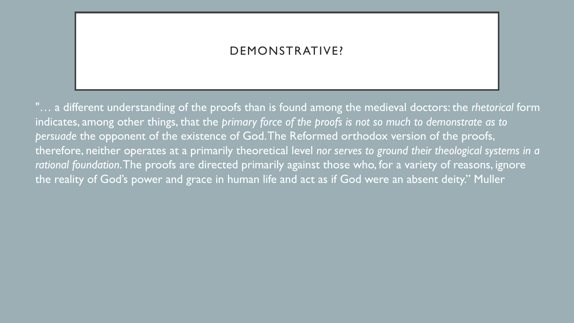## DEMONSTRATIVE?

"… a different understanding of the proofs than is found among the medieval doctors: the *rhetorical* form indicates, among other things, that the *primary force of the proofs is not so much to demonstrate as to persuade* the opponent of the existence of God. The Reformed orthodox version of the proofs, therefore, neither operates at a primarily theoretical level *nor serves to ground their theological systems in a rational foundation*. The proofs are directed primarily against those who, for a variety of reasons, ignore the reality of God's power and grace in human life and act as if God were an absent deity." Muller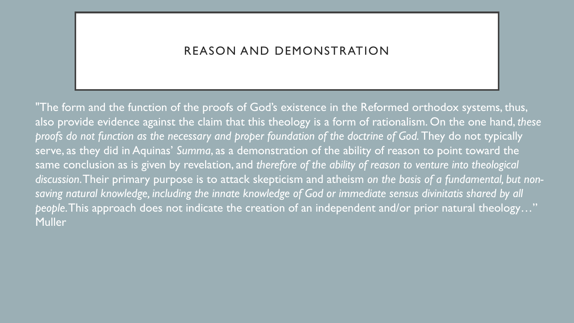## REASON AND DEMONSTRATION

"The form and the function of the proofs of God's existence in the Reformed orthodox systems, thus, also provide evidence against the claim that this theology is a form of rationalism. On the one hand, *these proofs do not function as the necessary and proper foundation of the doctrine of God.* They do not typically serve, as they did in Aquinas' *Summa*, as a demonstration of the ability of reason to point toward the same conclusion as is given by revelation, and *therefore of the ability of reason to venture into theological discussion*. Their primary purpose is to attack skepticism and atheism *on the basis of a fundamental, but nonsaving natural knowledge, including the innate knowledge of God or immediate sensus divinitatis shared by all people*. This approach does not indicate the creation of an independent and/or prior natural theology…" **Muller**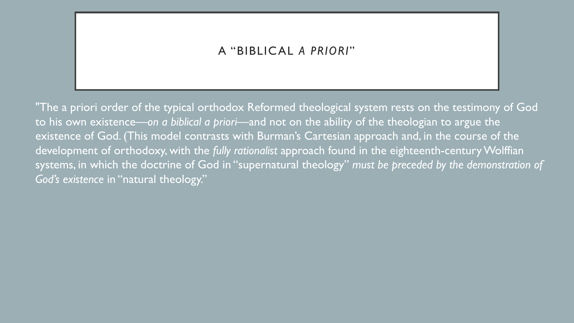## A "BIBLICAL *A PRIORI*"

"The a priori order of the typical orthodox Reformed theological system rests on the testimony of God to his own existence—*on a biblical a priori*—and not on the ability of the theologian to argue the existence of God. (This model contrasts with Burman's Cartesian approach and, in the course of the development of orthodoxy, with the *fully rationalist* approach found in the eighteenth-century Wolffian systems, in which the doctrine of God in "supernatural theology" *must be preceded by the demonstration of God's existence* in "natural theology."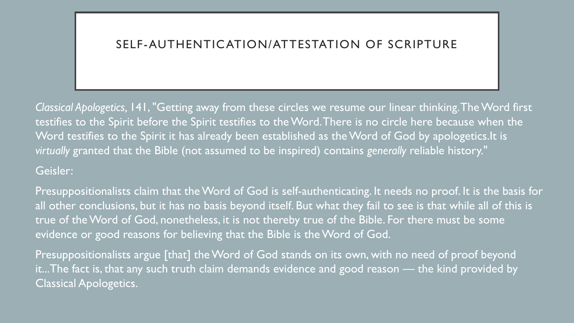## SELF-AUTHENTICATION/ATTESTATION OF SCRIPTURE

*Classical Apologetics,* 141, "Getting away from these circles we resume our linear thinking. The Word first testifies to the Spirit before the Spirit testifies to the Word. There is no circle here because when the Word testifies to the Spirit it has already been established as the Word of God by apologetics.It is *virtually* granted that the Bible (not assumed to be inspired) contains *generally* reliable history."

#### Geisler:

Presuppositionalists claim that the Word of God is self-authenticating. It needs no proof. It is the basis for all other conclusions, but it has no basis beyond itself. But what they fail to see is that while all of this is true of the Word of God, nonetheless, it is not thereby true of the Bible. For there must be some evidence or good reasons for believing that the Bible is the Word of God.

Presuppositionalists argue [that] the Word of God stands on its own, with no need of proof beyond it...The fact is, that any such truth claim demands evidence and good reason — the kind provided by Classical Apologetics.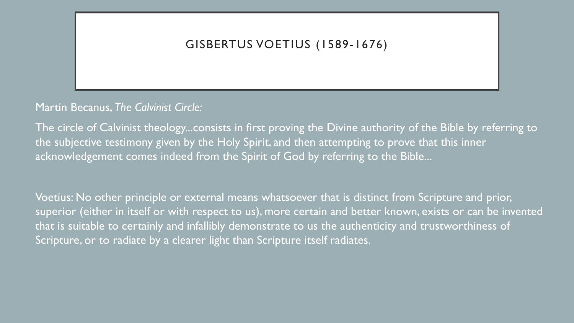## GISBERTUS VOETIUS (1589-1676)

#### Martin Becanus, *The Calvinist Circle:*

The circle of Calvinist theology...consists in first proving the Divine authority of the Bible by referring to the subjective testimony given by the Holy Spirit, and then attempting to prove that this inner acknowledgement comes indeed from the Spirit of God by referring to the Bible...

Voetius: No other principle or external means whatsoever that is distinct from Scripture and prior, superior (either in itself or with respect to us), more certain and better known, exists or can be invented that is suitable to certainly and infallibly demonstrate to us the authenticity and trustworthiness of Scripture, or to radiate by a clearer light than Scripture itself radiates.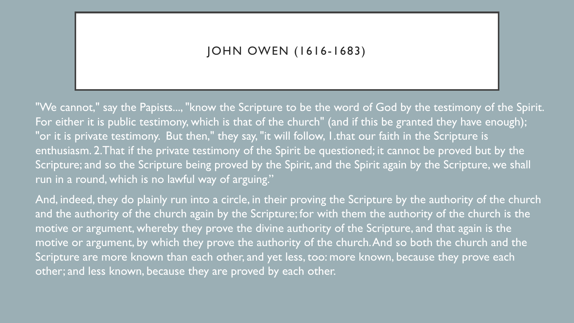## JOHN OWEN (1616-1683)

"We cannot," say the Papists..., "know the Scripture to be the word of God by the testimony of the Spirit. For either it is public testimony, which is that of the church" (and if this be granted they have enough); "or it is private testimony. But then," they say, "it will follow, 1.that our faith in the Scripture is enthusiasm. 2.That if the private testimony of the Spirit be questioned; it cannot be proved but by the Scripture; and so the Scripture being proved by the Spirit, and the Spirit again by the Scripture, we shall run in a round, which is no lawful way of arguing."

And, indeed, they do plainly run into a circle, in their proving the Scripture by the authority of the church and the authority of the church again by the Scripture; for with them the authority of the church is the motive or argument, whereby they prove the divine authority of the Scripture, and that again is the motive or argument, by which they prove the authority of the church. And so both the church and the Scripture are more known than each other, and yet less, too: more known, because they prove each other; and less known, because they are proved by each other.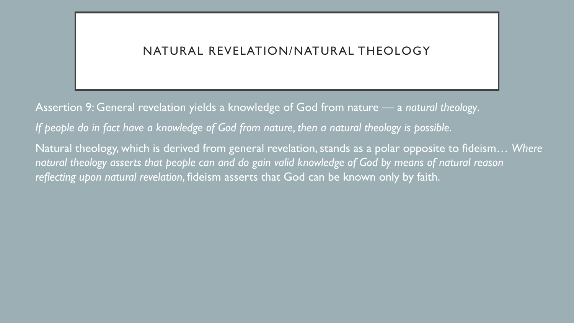## NATURAL REVELATION/NATURAL THEOLOGY

Assertion 9: General revelation yields a knowledge of God from nature — a *natural theology*.

*If people do in fact have a knowledge of God from nature, then a natural theology is possible*.

Natural theology, which is derived from general revelation, stands as a polar opposite to fideism… *Where natural theology asserts that people can and do gain valid knowledge of God by means of natural reason reflecting upon natural revelation*, fideism asserts that God can be known only by faith.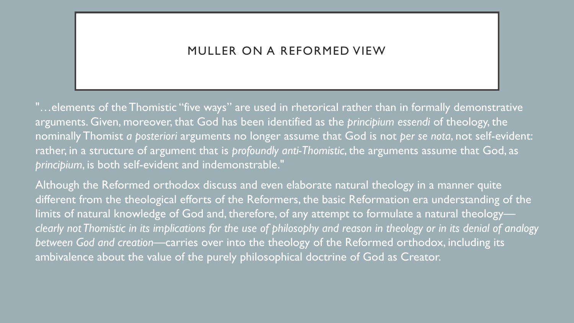## MULLER ON A REFORMED VIEW

"…elements of the Thomistic "five ways" are used in rhetorical rather than in formally demonstrative arguments. Given, moreover, that God has been identified as the *principium essendi* of theology, the nominally Thomist *a posteriori* arguments no longer assume that God is not *per se nota*, not self-evident: rather, in a structure of argument that is *profoundly anti-Thomistic*, the arguments assume that God, as *principium*, is both self-evident and indemonstrable."

Although the Reformed orthodox discuss and even elaborate natural theology in a manner quite different from the theological efforts of the Reformers, the basic Reformation era understanding of the limits of natural knowledge of God and, therefore, of any attempt to formulate a natural theology *clearly not Thomistic in its implications for the use of philosophy and reason in theology or in its denial of analogy between God and creation*—carries over into the theology of the Reformed orthodox, including its ambivalence about the value of the purely philosophical doctrine of God as Creator.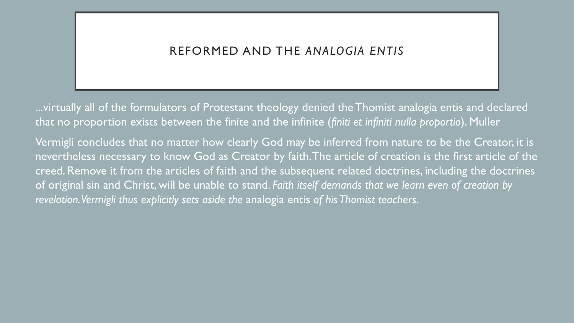### REFORMED AND THE *ANALOGIA ENTIS*

...virtually all of the formulators of Protestant theology denied the Thomist analogia entis and declared that no proportion exists between the finite and the infinite (*finiti et infiniti nulla proportio*). Muller

Vermigli concludes that no matter how clearly God may be inferred from nature to be the Creator, it is nevertheless necessary to know God as Creator by faith. The article of creation is the first article of the creed. Remove it from the articles of faith and the subsequent related doctrines, including the doctrines of original sin and Christ, will be unable to stand. *Faith itself demands that we learn even of creation by revelation. Vermigli thus explicitly sets aside the* analogia entis *of his Thomist teachers*.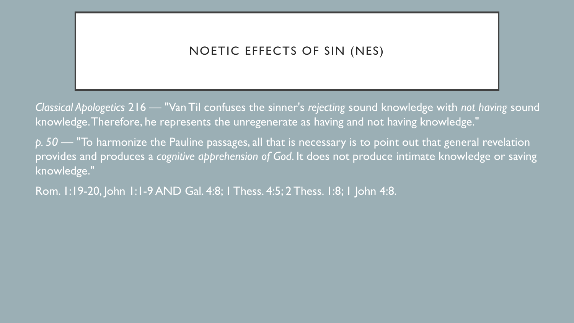# NOETIC EFFECTS OF SIN (NES)

*Classical Apologetics* 216 — "Van Til confuses the sinner's *rejecting* sound knowledge with *not having* sound knowledge. Therefore, he represents the unregenerate as having and not having knowledge."

*p. 50 —* "To harmonize the Pauline passages, all that is necessary is to point out that general revelation provides and produces a *cognitive apprehension of God*. It does not produce intimate knowledge or saving knowledge."

Rom. 1:19-20, John 1:1-9 AND Gal. 4:8; 1 Thess. 4:5; 2 Thess. 1:8; 1 John 4:8.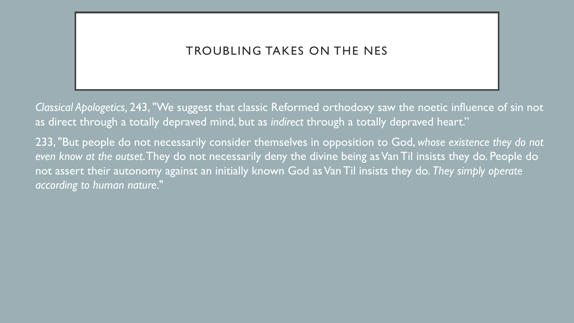## TROUBLING TAKES ON THE NES

*Classical Apologetics,* 243, "We suggest that classic Reformed orthodoxy saw the noetic influence of sin not as direct through a totally depraved mind, but as *indirect* through a totally depraved heart."

233, "But people do not necessarily consider themselves in opposition to God, *whose existence they do not even know at the outset*. They do not necessarily deny the divine being as Van Til insists they do. People do not assert their autonomy against an initially known God as Van Til insists they do. *They simply operate according to human nature*."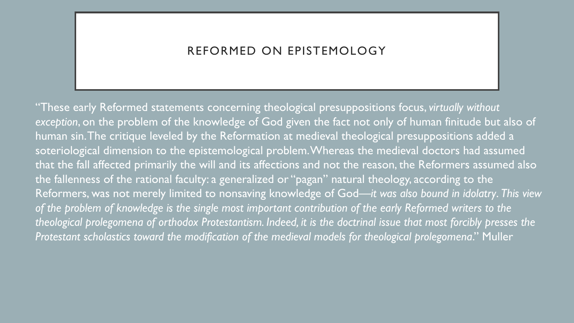### REFORMED ON EPISTEMOLOGY

"These early Reformed statements concerning theological presuppositions focus, *virtually without exception*, on the problem of the knowledge of God given the fact not only of human finitude but also of human sin. The critique leveled by the Reformation at medieval theological presuppositions added a soteriological dimension to the epistemological problem. Whereas the medieval doctors had assumed that the fall affected primarily the will and its affections and not the reason, the Reformers assumed also the fallenness of the rational faculty: a generalized or "pagan" natural theology, according to the Reformers, was not merely limited to nonsaving knowledge of God—*it was also bound in idolatry*. *This view of the problem of knowledge is the single most important contribution of the early Reformed writers to the theological prolegomena of orthodox Protestantism. Indeed, it is the doctrinal issue that most forcibly presses the Protestant scholastics toward the modification of the medieval models for theological prolegomena*." Muller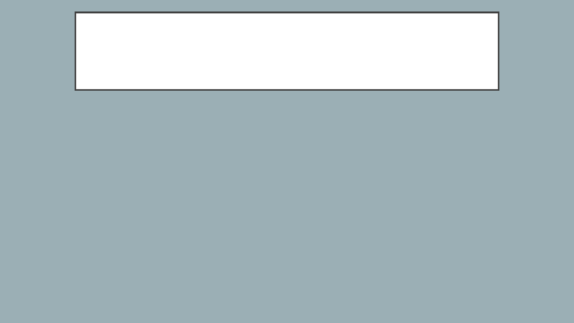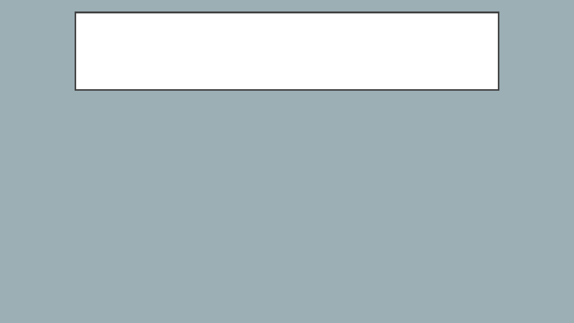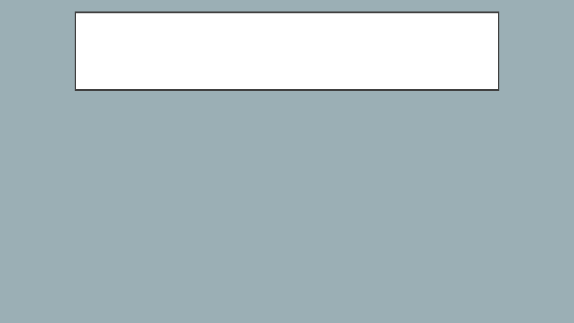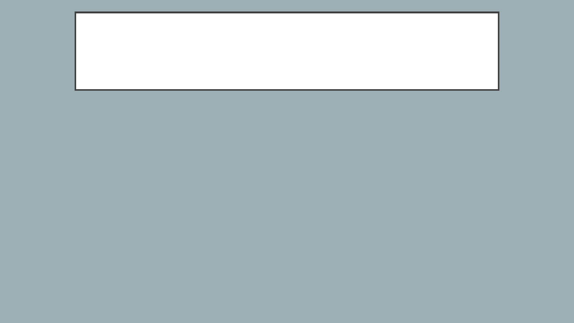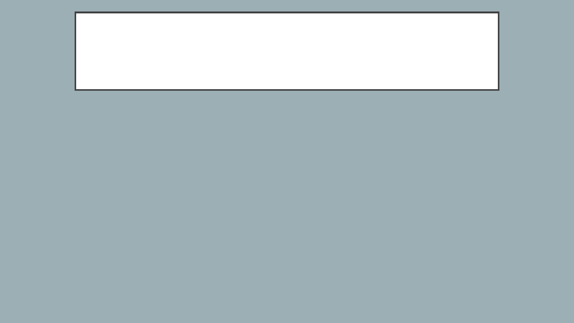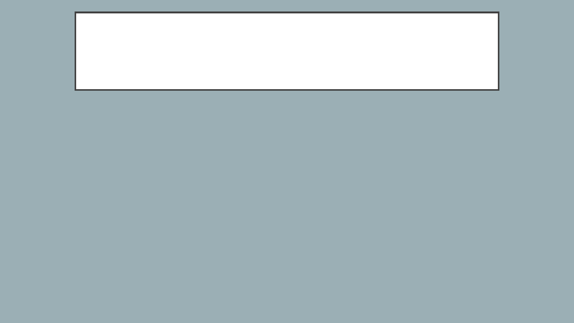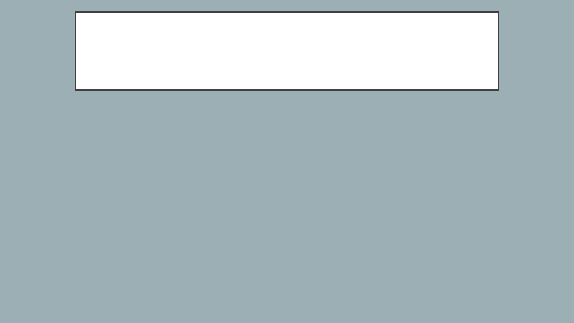